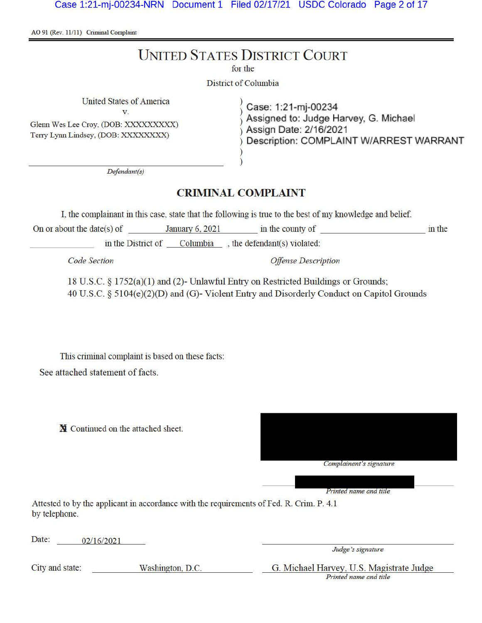AO 91 (Rev. 11/11) Criminal Complaint

# UNITED STATES DISTRICT COURT

for the

District of Columbia

United States of America

V.

Glenn Wes Lee Croy, (DOB: XXXXXXXXX) Terry Lynn Lindsey, (DOB: XXXXXXXX)

 $\lesssim$  Case: 1:21-mj-00234  $\,$ 

) Assigned to: Judge Harvey, G. Michael ) Assign Date: 2/16/2021 ) Description: COMPLAINT W/ARREST WARRANT )

*Defendant(s)* 

## **CRIMINAL COMPLAINT**

)

I, the complainant in this case, state that the following is true to the best of my knowledge and belief.

On or about the date(s) of January 6, 2021 in the county of  $\qquad$  in the in the District of Columbia , the defendant(s) violated:

*Code Section Offense Description* 

18 U.S.C. § 1752(a)(1) and (2)- Unlawful Entry on Restricted Buildings or Grounds; 40 U.S.C. § 5104(e)(2)(D) and (G)- Violent Entry and Disorderly Conduct on Capitol Grounds

This criminal complaint is based on these facts:

See attached statement of facts.

**N** Continued on the attached sheet.



Printed name and title

Attested to by the applicant in accordance with the requirements of Fed. R. Crim. P. 4.1 by telephone.

| Date:           | 02/16/2021       |                                          |
|-----------------|------------------|------------------------------------------|
|                 |                  | Judge's signature                        |
| City and state: | Washington, D.C. | G. Michael Harvey, U.S. Magistrate Judge |
|                 |                  | Printed name and title                   |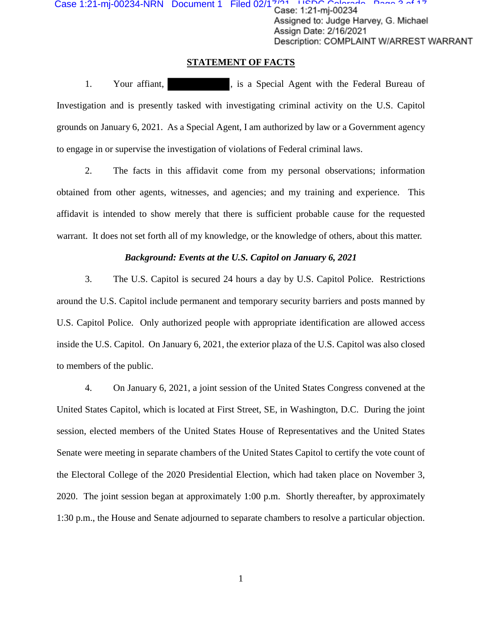Case 1:21-mj-00234-NRN Document 1 Filed 02/17/21 USDC Colorado Page 3 of 17 Case: 1 :21-mj-00234

Assigned to: Judge Harvey, G. Michael Assign Date: 2/16/2021 Description: COMPLAINT W/ARREST WARRANT

## **STATEMENT OF FACTS**

1. Your affiant, the Special Agent with the Federal Bureau of Investigation and is presently tasked with investigating criminal activity on the U.S. Capitol grounds on January 6, 2021. As a Special Agent, I am authorized by law or a Government agency to engage in or supervise the investigation of violations of Federal criminal laws.

2. The facts in this affidavit come from my personal observations; information obtained from other agents, witnesses, and agencies; and my training and experience. This affidavit is intended to show merely that there is sufficient probable cause for the requested warrant. It does not set forth all of my knowledge, or the knowledge of others, about this matter.

## *Background: Events at the U.S. Capitol on January 6, 2021*

3. The U.S. Capitol is secured 24 hours a day by U.S. Capitol Police. Restrictions around the U.S. Capitol include permanent and temporary security barriers and posts manned by U.S. Capitol Police. Only authorized people with appropriate identification are allowed access inside the U.S. Capitol. On January 6, 2021, the exterior plaza of the U.S. Capitol was also closed to members of the public.

4. On January 6, 2021, a joint session of the United States Congress convened at the United States Capitol, which is located at First Street, SE, in Washington, D.C. During the joint session, elected members of the United States House of Representatives and the United States Senate were meeting in separate chambers of the United States Capitol to certify the vote count of the Electoral College of the 2020 Presidential Election, which had taken place on November 3, 2020. The joint session began at approximately 1:00 p.m. Shortly thereafter, by approximately 1:30 p.m., the House and Senate adjourned to separate chambers to resolve a particular objection.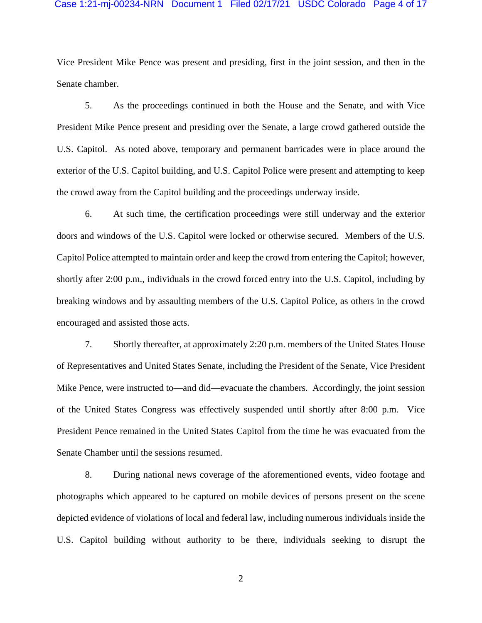#### Case 1:21-mj-00234-NRN Document 1 Filed 02/17/21 USDC Colorado Page 4 of 17

Vice President Mike Pence was present and presiding, first in the joint session, and then in the Senate chamber.

5. As the proceedings continued in both the House and the Senate, and with Vice President Mike Pence present and presiding over the Senate, a large crowd gathered outside the U.S. Capitol. As noted above, temporary and permanent barricades were in place around the exterior of the U.S. Capitol building, and U.S. Capitol Police were present and attempting to keep the crowd away from the Capitol building and the proceedings underway inside.

 6. At such time, the certification proceedings were still underway and the exterior doors and windows of the U.S. Capitol were locked or otherwise secured. Members of the U.S. Capitol Police attempted to maintain order and keep the crowd from entering the Capitol; however, shortly after 2:00 p.m., individuals in the crowd forced entry into the U.S. Capitol, including by breaking windows and by assaulting members of the U.S. Capitol Police, as others in the crowd encouraged and assisted those acts.

 President Pence remained in the United States Capitol from the time he was evacuated from the 7. Shortly thereafter, at approximately 2:20 p.m. members of the United States House of Representatives and United States Senate, including the President of the Senate, Vice President Mike Pence, were instructed to—and did—evacuate the chambers. Accordingly, the joint session of the United States Congress was effectively suspended until shortly after 8:00 p.m. Vice Senate Chamber until the sessions resumed.

depicted evidence of violations of local and federal law, including numerous individuals inside the 8. During national news coverage of the aforementioned events, video footage and photographs which appeared to be captured on mobile devices of persons present on the scene U.S. Capitol building without authority to be there, individuals seeking to disrupt the

2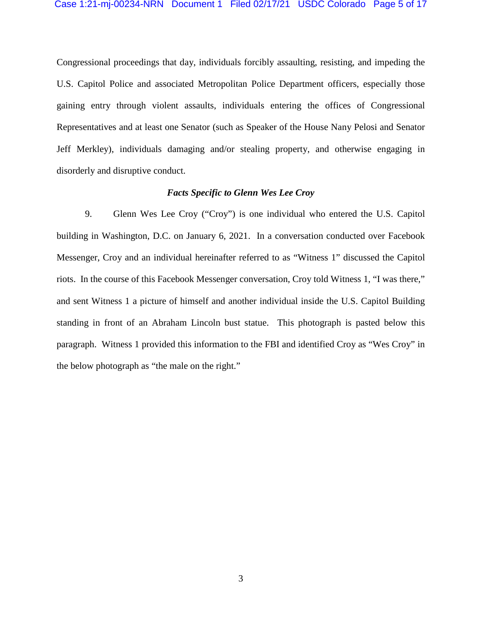Representatives and at least one Senator (such as Speaker of the House Nany Pelosi and Senator Congressional proceedings that day, individuals forcibly assaulting, resisting, and impeding the U.S. Capitol Police and associated Metropolitan Police Department officers, especially those gaining entry through violent assaults, individuals entering the offices of Congressional Jeff Merkley), individuals damaging and/or stealing property, and otherwise engaging in disorderly and disruptive conduct.

## *Facts Specific to Glenn Wes Lee Croy*

 riots. In the course of this Facebook Messenger conversation, Croy told Witness 1, "I was there," the below photograph as "the male on the right." 9. Glenn Wes Lee Croy ("Croy") is one individual who entered the U.S. Capitol building in Washington, D.C. on January 6, 2021. In a conversation conducted over Facebook Messenger, Croy and an individual hereinafter referred to as "Witness 1" discussed the Capitol and sent Witness 1 a picture of himself and another individual inside the U.S. Capitol Building standing in front of an Abraham Lincoln bust statue. This photograph is pasted below this paragraph. Witness 1 provided this information to the FBI and identified Croy as "Wes Croy" in the below photograph as "the male on the right."<br>
3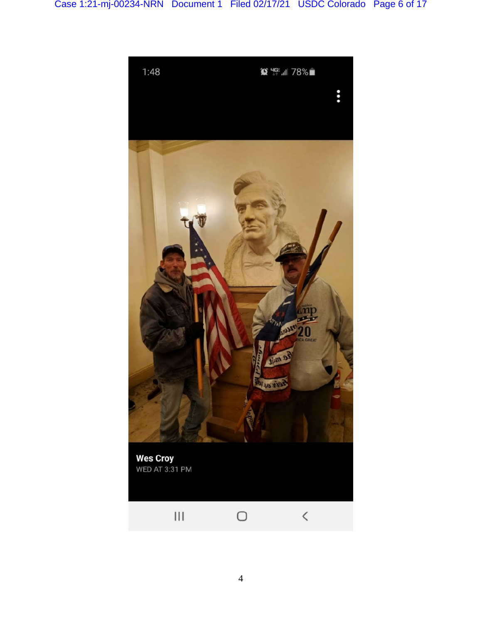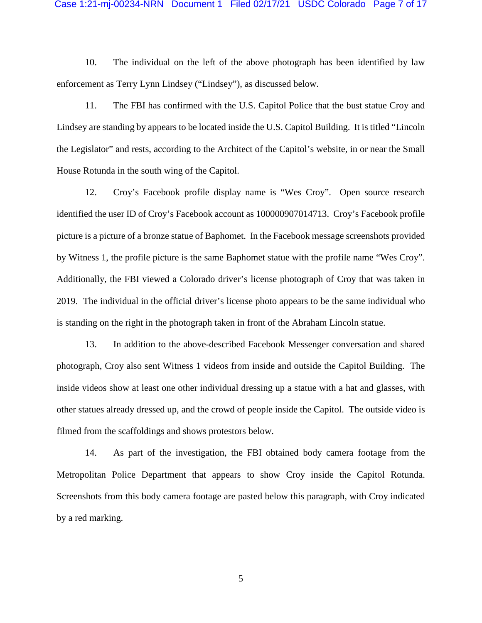#### Case 1:21-mj-00234-NRN Document 1 Filed 02/17/21 USDC Colorado Page 7 of 17

10. The individual on the left of the above photograph has been identified by law enforcement as Terry Lynn Lindsey ("Lindsey"), as discussed below.

11. The FBI has confirmed with the U.S. Capitol Police that the bust statue Croy and Lindsey are standing by appears to be located inside the U.S. Capitol Building. It is titled "Lincoln the Legislator" and rests, according to the Architect of the Capitol's website, in or near the Small House Rotunda in the south wing of the Capitol.

 12. Croy's Facebook profile display name is "Wes Croy". Open source research picture is a picture of a bronze statue of Baphomet. In the Facebook message screenshots provided by Witness 1, the profile picture is the same Baphomet statue with the profile name "Wes Croy". by Witness 1, the profile picture is the same Baphomet statue with the profile name "Wes Croy". Additionally, the FBI viewed a Colorado driver's license photograph of Croy that was taken in identified the user ID of Croy's Facebook account as 100000907014713. Croy's Facebook profile 2019. The individual in the official driver's license photo appears to be the same individual who is standing on the right in the photograph taken in front of the Abraham Lincoln statue.

13. In addition to the above-described Facebook Messenger conversation and shared photograph, Croy also sent Witness 1 videos from inside and outside the Capitol Building. The inside videos show at least one other individual dressing up a statue with a hat and glasses, with other statues already dressed up, and the crowd of people inside the Capitol. The outside video is filmed from the scaffoldings and shows protestors below.

14. As part of the investigation, the FBI obtained body camera footage from the Metropolitan Police Department that appears to show Croy inside the Capitol Rotunda. Screenshots from this body camera footage are pasted below this paragraph, with Croy indicated by a red marking.

5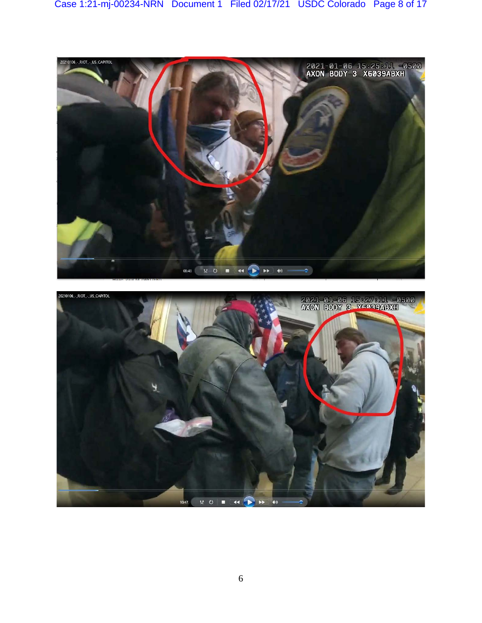

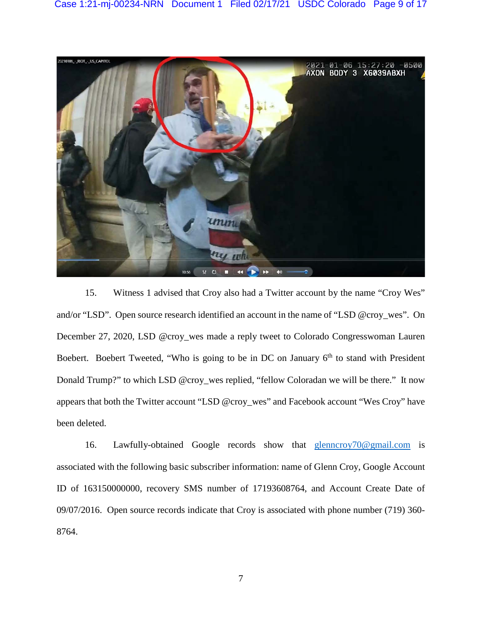

 15. Witness 1 advised that Croy also had a Twitter account by the name "Croy Wes" and/or "LSD". Open source research identified an account in the name of "LSD @croy\_wes". On Donald Trump?" to which LSD @croy\_wes replied, "fellow Coloradan we will be there." It now been deleted. December 27, 2020, LSD @croy\_wes made a reply tweet to Colorado Congresswoman Lauren Boebert. Boebert Tweeted, "Who is going to be in DC on January  $6<sup>th</sup>$  to stand with President appears that both the Twitter account "LSD @croy\_wes" and Facebook account "Wes Croy" have

 associated with the following basic subscriber information: name of Glenn Croy, Google Account 16. Lawfully-obtained Google records show that  $g$ lenncroy70@gmail.com is ID of 163150000000, recovery SMS number of 17193608764, and Account Create Date of 09/07/2016. Open source records indicate that Croy is associated with phone number (719) 360- 8764.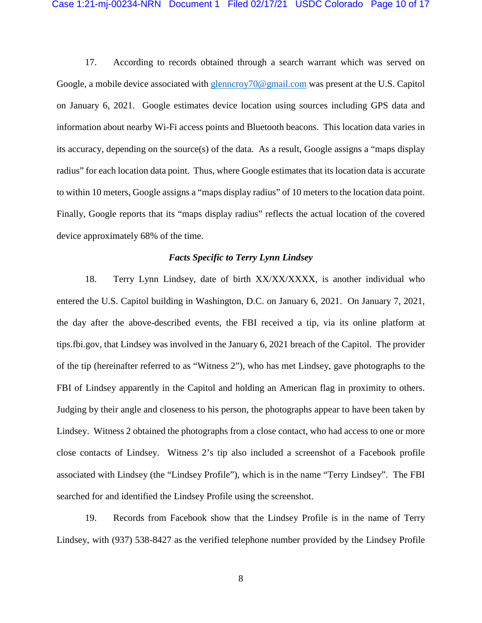#### Case 1:21-mj-00234-NRN Document 1 Filed 02/17/21 USDC Colorado Page 10 of 17

 radius" for each location data point. Thus, where Google estimates that its location data is accurate to within 10 meters, Google assigns a "maps display radius" of 10 meters to the location data point. 17. According to records obtained through a search warrant which was served on Google, a mobile device associated with [glenncroy70@gmail.com](mailto:glenncroy70@gmail.com) was present at the U.S. Capitol on January 6, 2021. Google estimates device location using sources including GPS data and information about nearby Wi-Fi access points and Bluetooth beacons. This location data varies in its accuracy, depending on the source(s) of the data. As a result, Google assigns a "maps display Finally, Google reports that its "maps display radius" reflects the actual location of the covered device approximately 68% of the time.

## *Facts Specific to Terry Lynn Lindsey*

 [tips.fbi.gov,](https://tips.fbi.gov) that Lindsey was involved in the January 6, 2021 breach of the Capitol. The provider of the tip (hereinafter referred to as "Witness 2"), who has met Lindsey, gave photographs to the FBI of Lindsey apparently in the Capitol and holding an American flag in proximity to others. close contacts of Lindsey. Witness 2's tip also included a screenshot of a Facebook profile 18. Terry Lynn Lindsey, date of birth XX/XX/XXXX, is another individual who entered the U.S. Capitol building in Washington, D.C. on January 6, 2021. On January 7, 2021, the day after the above-described events, the FBI received a tip, via its online platform at Judging by their angle and closeness to his person, the photographs appear to have been taken by Lindsey. Witness 2 obtained the photographs from a close contact, who had access to one or more associated with Lindsey (the "Lindsey Profile"), which is in the name "Terry Lindsey". The FBI searched for and identified the Lindsey Profile using the screenshot.

19. Records from Facebook show that the Lindsey Profile is in the name of Terry Lindsey, with (937) 538-8427 as the verified telephone number provided by the Lindsey Profile

8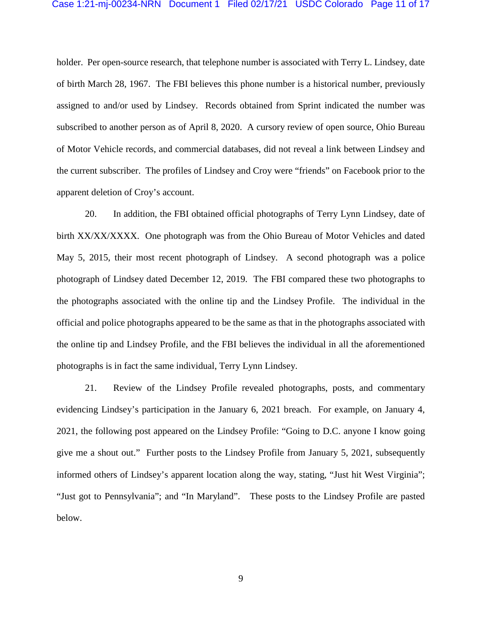#### Case 1:21-mj-00234-NRN Document 1 Filed 02/17/21 USDC Colorado Page 11 of 17

 of birth March 28, 1967. The FBI believes this phone number is a historical number, previously subscribed to another person as of April 8, 2020. A cursory review of open source, Ohio Bureau of Motor Vehicle records, and commercial databases, did not reveal a link between Lindsey and the current subscriber. The profiles of Lindsey and Croy were "friends" on Facebook prior to the apparent deletion of Croy's account. holder. Per open-source research, that telephone number is associated with Terry L. Lindsey, date assigned to and/or used by Lindsey. Records obtained from Sprint indicated the number was

 photograph of Lindsey dated December 12, 2019. The FBI compared these two photographs to the online tip and Lindsey Profile, and the FBI believes the individual in all the aforementioned 20. In addition, the FBI obtained official photographs of Terry Lynn Lindsey, date of birth XX/XX/XXXX. One photograph was from the Ohio Bureau of Motor Vehicles and dated May 5, 2015, their most recent photograph of Lindsey. A second photograph was a police the photographs associated with the online tip and the Lindsey Profile. The individual in the official and police photographs appeared to be the same as that in the photographs associated with photographs is in fact the same individual, Terry Lynn Lindsey.

 21. Review of the Lindsey Profile revealed photographs, posts, and commentary evidencing Lindsey's participation in the January 6, 2021 breach. For example, on January 4, 2021, the following post appeared on the Lindsey Profile: "Going to D.C. anyone I know going give me a shout out." Further posts to the Lindsey Profile from January 5, 2021, subsequently informed others of Lindsey's apparent location along the way, stating, "Just hit West Virginia"; "Just got to Pennsylvania"; and "In Maryland". These posts to the Lindsey Profile are pasted below.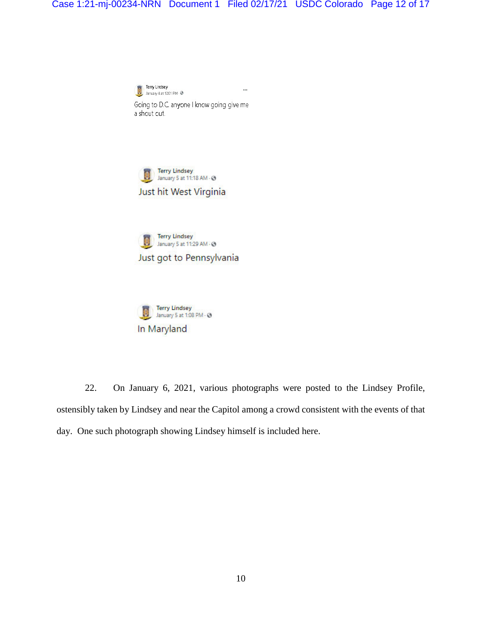Case 1:21-mj-00234-NRN Document 1 Filed 02/17/21 USDC Colorado Page 12 of 17

**Terry Lindsey**<br>January 4 at 129 ... January 4 at 1201 PM · @ Going to D.C anyone I know going give me a shout out.







 22. On January 6, 2021, various photographs were posted to the Lindsey Profile, ostensibly taken by Lindsey and near the Capitol among a crowd consistent with the events of that day. One such photograph showing Lindsey himself is included here.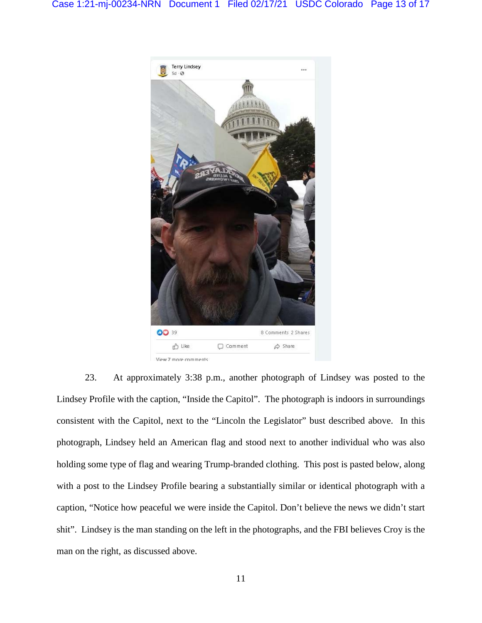

 photograph, Lindsey held an American flag and stood next to another individual who was also holding some type of flag and wearing Trump-branded clothing. This post is pasted below, along with a post to the Lindsey Profile bearing a substantially similar or identical photograph with a 23. At approximately 3:38 p.m., another photograph of Lindsey was posted to the Lindsey Profile with the caption, "Inside the Capitol". The photograph is indoors in surroundings consistent with the Capitol, next to the "Lincoln the Legislator" bust described above. In this caption, "Notice how peaceful we were inside the Capitol. Don't believe the news we didn't start shit". Lindsey is the man standing on the left in the photographs, and the FBI believes Croy is the man on the right, as discussed above.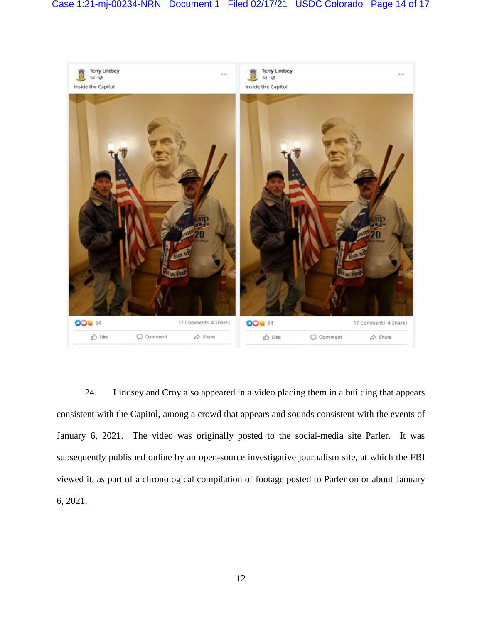

 24. Lindsey and Croy also appeared in a video placing them in a building that appears January 6, 2021. The video was originally posted to the social-media site Parler. It was consistent with the Capitol, among a crowd that appears and sounds consistent with the events of subsequently published online by an open-source investigative journalism site, at which the FBI viewed it, as part of a chronological compilation of footage posted to Parler on or about January 6, 2021.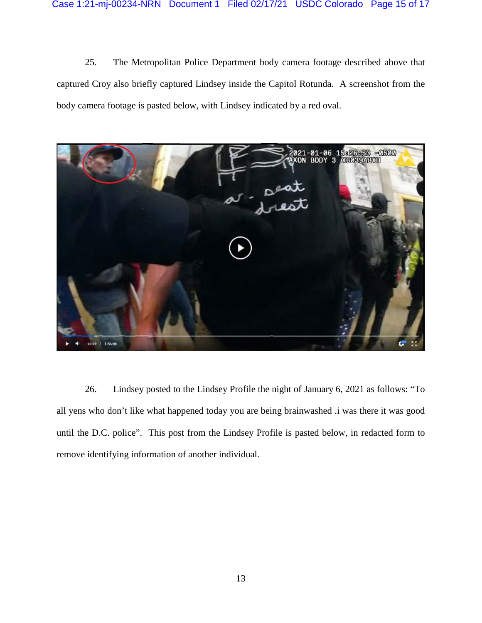## Case 1:21-mj-00234-NRN Document 1 Filed 02/17/21 USDC Colorado Page 15 of 17

 25. The Metropolitan Police Department body camera footage described above that captured Croy also briefly captured Lindsey inside the Capitol Rotunda. A screenshot from the body camera footage is pasted below, with Lindsey indicated by a red oval.



 26. Lindsey posted to the Lindsey Profile the night of January 6, 2021 as follows: "To all yens who don't like what happened today you are being brainwashed .i was there it was good until the D.C. police". This post from the Lindsey Profile is pasted below, in redacted form to remove identifying information of another individual.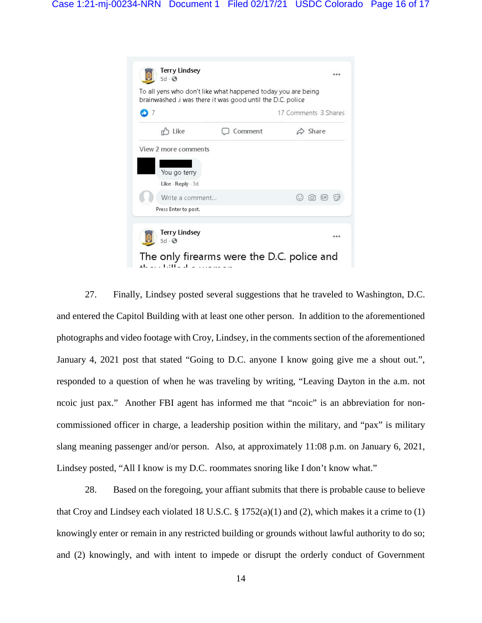

 January 4, 2021 post that stated "Going to D.C. anyone I know going give me a shout out.", responded to a question of when he was traveling by writing, "Leaving Dayton in the a.m. not commissioned officer in charge, a leadership position within the military, and "pax" is military 27. Finally, Lindsey posted several suggestions that he traveled to Washington, D.C. and entered the Capitol Building with at least one other person. In addition to the aforementioned photographs and video footage with Croy, Lindsey, in the comments section of the aforementioned ncoic just pax." Another FBI agent has informed me that "ncoic" is an abbreviation for nonslang meaning passenger and/or person. Also, at approximately 11:08 p.m. on January 6, 2021, Lindsey posted, "All I know is my D.C. roommates snoring like I don't know what."

that Croy and Lindsey each violated 18 U.S.C.  $\S 1752(a)(1)$  and (2), which makes it a crime to (1) 28. Based on the foregoing, your affiant submits that there is probable cause to believe knowingly enter or remain in any restricted building or grounds without lawful authority to do so; and (2) knowingly, and with intent to impede or disrupt the orderly conduct of Government